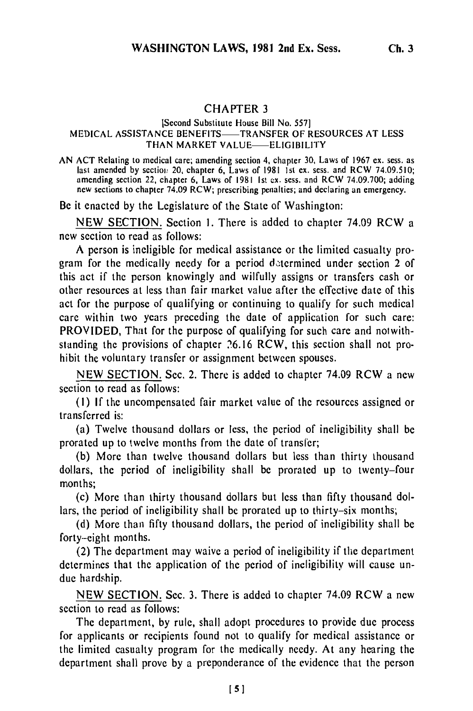## CHAPTER **3**

## [Second Substitute House Bill No. 5571 MEDICAL ASSISTANCE BENEFITS-TRANSFER OF RESOURCES AT LESS THAN MARKET VALUE-ELIGIBILITY

AN ACT Relating to medical care; amending section 4, chapter 30, Laws of 1967 ex. sess. as last amended by section 20, chapter 6, Laws of 1981 1st ex. sess. and RCW 74.09.510; amending section 22, chapter 6, Laws of 1981 Ist ex. sess. and RCW 74.09.700; adding new sections to chapter 74.09 RCW; prescribing penalties; and declaring an emergency.

Be it enacted by the Legislature of the State of Washington:

NEW SECTION. Section 1. There is added to chapter 74.09 RCW a new section to read as follows:

A person is ineligible for medical assistance or the limited casualty program for the medically needy for a period determined under section 2 of this act if the person knowingly and wilfully assigns or transfers cash or other resources at less than fair market value after the effective date of this act for the purpose of qualifying or continuing to qualify for such medical care within two years preceding the date of application for such care: PROVIDED, That for the purpose of qualifying for such care and notwithstanding the provisions of chapter 26.16 RCW, this section shall not prohibit the voluntary transfer or assignment between spouses.

NEW SECTION. Sec. 2. There is added to chapter 74.09 RCW a new section to read as follows:

(I) If the uncompensated fair market value of the resources assigned or transferred is:

(a) Twelve thousand dollars or less, the period of ineligibility shall be prorated up to twelve months from the date of transfer;

(b) More than twelve thousand dollars but less than thirty thousand dollars, the period of ineligibility shall be prorated up to twenty-four months;

(c) More than thirty thousand dollars but less than fifty thousand dollars, the period of ineligibility shall be prorated up to thirty-six months;

(d) More than fifty thousand dollars, the period of ineligibility shall be forty-eight months.

(2) The department may waive a period of ineligibility if the department determines that the application of the period of ineligibility will cause undue hardship.

NEW SECTION. Sec. 3. There is added to chapter 74.09 RCW a new section to read as follows:

The department, by rule, shall adopt procedures to provide due process for applicants or recipients found not to qualify for medical assistance or the limited casualty program for the medically needy. At any hearing the department shall prove by a preponderance of the evidence that the person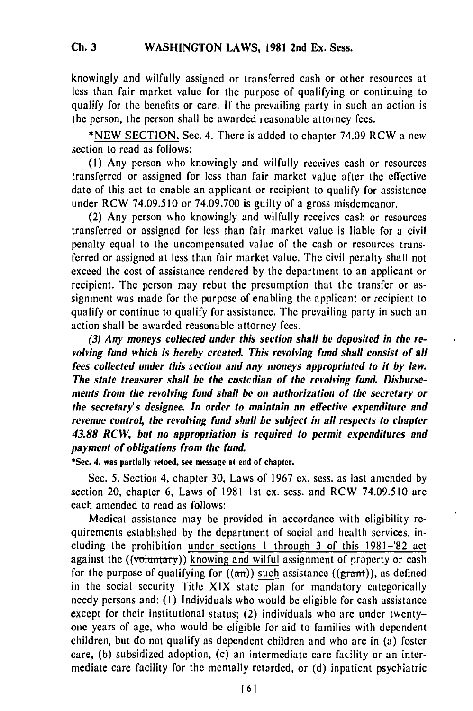knowingly and wilfully assigned or transferred cash or other resources at less than fair market value for the purpose of qualifying or continuing to qualify for the benefits or care. If the prevailing party in such an action is the person, the person shall be awarded reasonable attorney fees.

\*NEW SECTION. Sec. 4. There is added to chapter 74.09 RCW a new section to read as follows:

**(1)** Any person who knowingly and wilfully receives cash or resources transferred or assigned for less than fair market value after the effective date of this act to enable an applicant or recipient to qualify for assistance under RCW 74.09.510 or 74.09.700 is guilty of a gross misdemeanor.

(2) Any person who knowingly and wilfully receives cash or resources transferred or assigned for less than fair market value is liable for a civil penalty equal to the uncompensated value of the cash or resources trans. ferred or assigned at less than fair market value. The civil penalty shall not exceed the cost of assistance rendered by the department to an applicant or recipient. The person may rebut the presumption that the transfer or assignment was made for the purpose of enabling the applicant or recipient to qualify or continue to qualify for assistance. The prevailing party in such an action shall be awarded reasonable attorney fees.

*(3) Any moneys collected under this section shall be deposited in the revolving fund which is hereby created. This revolving fund shall consist of all fees collected under this section and any moneys appropriated to it by law. The state treasurer shall be the custodian of the revolving fund. Disbursements from the revolving fund shall be on authorization of the secretary or the secretary's designee. In order to maintain an effective expenditure and revenue control, the revolving fund shall be subject in all respects to chapter 43.88 RCW, but no appropriation is required to permit expenditures and payment of obligations from the fund.*

**\*Sec. 4. was partially vetoed, see message at end of chapter.**

Sec. **5.** Section 4, chapter **30,** Laws of **1967 ex.** sess. as last amended **by** section 20, chapter **6,** Laws of **1981** 1st **ex.** sess. and RCW **74.09.510** are each amended to read as follows:

Medical assistance may be provided in accordance with eligibility requirements established **by** the department of social and health services, including the prohibition under sections **I** through **3** of this **1981-'82** act against the ((voluntary)) knowing and wilful assignment of property or cash for the purpose of qualifying for  $((\alpha n))$  such assistance  $((\beta \tan))$ , as defined in the social security Title XIX state plan for mandatory categorically needy persons and: **(1)** Individuals who would be eligible for cash assistance except for their institutional status; (2) individuals who are under twentyone years of age, who would be eligible for aid to families with dependent children, but do not qualify as dependent children and who are in (a) foster care, (b) subsidized adoption, (c) an intermediate care facility or an intermediate care facility for the mentally retarded, or (d) inpatient psycliatric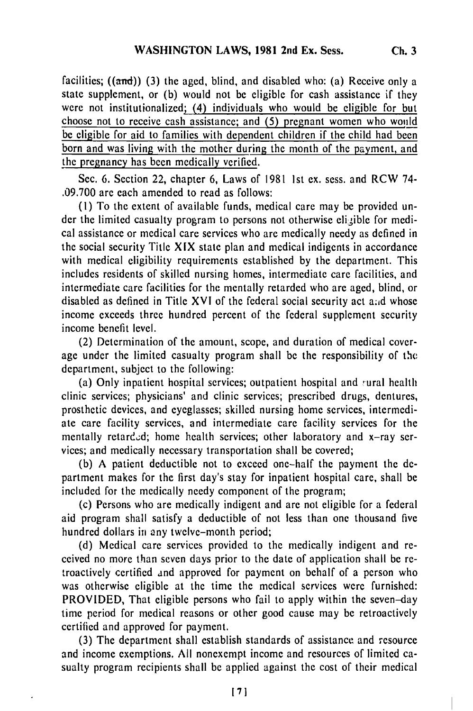facilities;  $((and))$  (3) the aged, blind, and disabled who: (a) Receive only a state supplement, or (b) would not be eligible for cash assistance if they were not institutionalized; (4) individuals who would be eligible for but choose not to receive cash assistance; and (5) pregnant women who would be eligible for aid to families with dependent children if the child had been born and was living with the mother during the month of the payment, and the pregnancy has been medically verified.

Sec. 6. Section 22, chapter 6, Laws of 1981 1st ex. sess. and RCW 74- .09.700 are each amended to read as follows:

(1) To the extent of available funds, medical care may be provided under the limited casualty program to persons not otherwise eligible for medical assistance or medical care services who are medically needy as defined in the social security Title XIX state plan and medical indigents in accordance with medical eligibility requirements established by the department. This includes residents of skilled nursing homes, intermediate care facilities, and intermediate care facilities for the mentally retarded who are aged, blind, or disabled as defined in Title XVI of the federal social security act and whose income exceeds three hundred percent of the federal supplement security income benefit level.

(2) Determination of the amount, scope, and duration of medical coverage under the limited casualty program shall be the responsibility of the department, subject to the following:

(a) Only inpatient hospital services; outpatient hospital and 'ural health clinic services; physicians' and clinic services; prescribed drugs, dentures, prosthetic devices, and eyeglasses; skilled nursing home services, intermediate care facility services, and intermediate care facility services for the mentally retarded; home health services; other laboratory and x-ray services; and medically necessary transportation shall be covered;

(b) A patient deductible not to exceed one-half the payment the department makes for the first day's stay for inpatient hospital care, shall be included for the medically needy component of the program;

(c) Persons who are medically indigent and are not eligible for a federal aid program shall satisfy a deductible of not less than one thousand five hundred dollars in any twelve-month period;

(d) Medical care services provided to the medically indigent and received no more than seven days prior to the date of application shall be retroactively certified and approved for payment on behalf of a person who was otherwise eligible at the time the medical services were furnished: PROVIDED, That eligible persons who fail to apply within the seven-day time period for medical reasons or other good cause may be retroactively certified and approved for payment.

(3) The department shall establish standards of assistance and resource and income exemptions. All nonexempt income and resources of limited casualty program recipients shall be applied against the cost of their medical